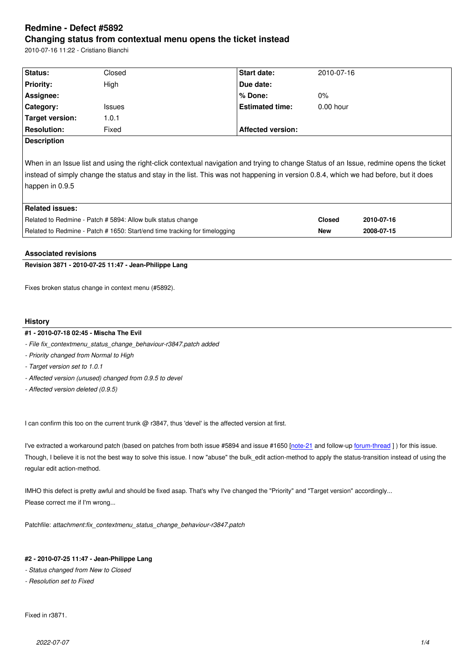#### **Changing status from contextual menu opens the ticket instead**

2010-07-16 11:22 - Cristiano Bianchi

| Status:                                                                                                                                                                                                                                                                                           | Closed        | Start date:              | 2010-07-16    |            |  |
|---------------------------------------------------------------------------------------------------------------------------------------------------------------------------------------------------------------------------------------------------------------------------------------------------|---------------|--------------------------|---------------|------------|--|
| <b>Priority:</b>                                                                                                                                                                                                                                                                                  | High          | Due date:                |               |            |  |
| Assignee:                                                                                                                                                                                                                                                                                         |               | $%$ Done:                | $0\%$         |            |  |
| Category:                                                                                                                                                                                                                                                                                         | <b>Issues</b> | <b>Estimated time:</b>   | $0.00$ hour   |            |  |
| Target version:                                                                                                                                                                                                                                                                                   | 1.0.1         |                          |               |            |  |
| <b>Resolution:</b>                                                                                                                                                                                                                                                                                | Fixed         | <b>Affected version:</b> |               |            |  |
| <b>Description</b>                                                                                                                                                                                                                                                                                |               |                          |               |            |  |
| When in an Issue list and using the right-click contextual navigation and trying to change Status of an Issue, redmine opens the ticket<br>instead of simply change the status and stay in the list. This was not happening in version 0.8.4, which we had before, but it does<br>happen in 0.9.5 |               |                          |               |            |  |
| <b>Related issues:</b>                                                                                                                                                                                                                                                                            |               |                          |               |            |  |
| Related to Redmine - Patch # 5894: Allow bulk status change                                                                                                                                                                                                                                       |               |                          | <b>Closed</b> | 2010-07-16 |  |
| Related to Redmine - Patch # 1650: Start/end time tracking for timelogging                                                                                                                                                                                                                        |               |                          | <b>New</b>    | 2008-07-15 |  |

### **Associated revisions**

**Revision 3871 - 2010-07-25 11:47 - Jean-Philippe Lang**

Fixes broken status change in context menu (#5892).

### **History**

### **#1 - 2010-07-18 02:45 - Mischa The Evil**

- *File fix\_contextmenu\_status\_change\_behaviour-r3847.patch added*
- *Priority changed from Normal to High*
- *Target version set to 1.0.1*
- *Affected version (unused) changed from 0.9.5 to devel*
- *Affected version deleted (0.9.5)*

I can confirm this too on the current trunk @ r3847, thus 'devel' is the affected version at first.

I've extracted a workaround patch (based on patches from both issue #5894 and issue #1650 [note-21 and follow-up forum-thread]) for this issue. Though, I believe it is not the best way to solve this issue. I now "abuse" the bulk\_edit action-method to apply the status-transition instead of using the regular edit action-method.

IMHO this defect is pretty awful and should be fixed asap. That's why I've changed the "Priorit[y" and "T](http://www.redmine.org/issues/1650#note-21)arget version" [accordingly...](http://www.redmine.org/boards/1/topics/show/2352#Context-menu-action-errors) Please correct me if I'm wrong...

Patchfile: *attachment:fix\_contextmenu\_status\_change\_behaviour-r3847.patch*

### **#2 - 2010-07-25 11:47 - Jean-Philippe Lang**

- *Status changed from New to Closed*
- *Resolution set to Fixed*

Fixed in r3871.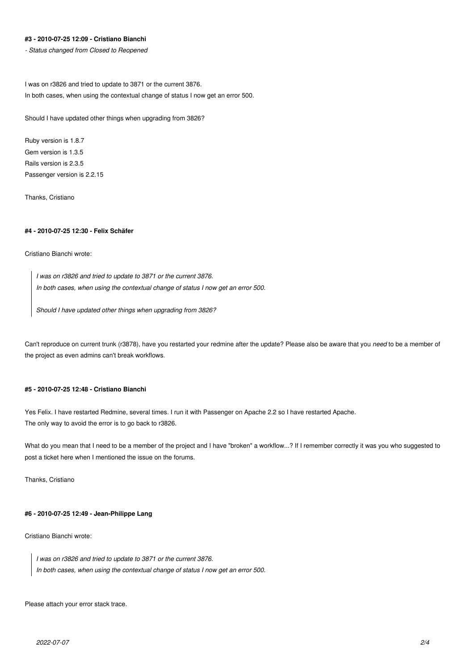# **#3 - 2010-07-25 12:09 - Cristiano Bianchi**

*- Status changed from Closed to Reopened*

I was on r3826 and tried to update to 3871 or the current 3876. In both cases, when using the contextual change of status I now get an error 500.

Should I have updated other things when upgrading from 3826?

Ruby version is 1.8.7 Gem version is 1.3.5 Rails version is 2.3.5 Passenger version is 2.2.15

Thanks, Cristiano

# **#4 - 2010-07-25 12:30 - Felix Schäfer**

Cristiano Bianchi wrote:

*I was on r3826 and tried to update to 3871 or the current 3876. In both cases, when using the contextual change of status I now get an error 500.*

*Should I have updated other things when upgrading from 3826?*

Can't reproduce on current trunk (r3878), have you restarted your redmine after the update? Please also be aware that you *need* to be a member of the project as even admins can't break workflows.

# **#5 - 2010-07-25 12:48 - Cristiano Bianchi**

Yes Felix. I have restarted Redmine, several times. I run it with Passenger on Apache 2.2 so I have restarted Apache. The only way to avoid the error is to go back to r3826.

What do you mean that I need to be a member of the project and I have "broken" a workflow...? If I remember correctly it was you who suggested to post a ticket here when I mentioned the issue on the forums.

Thanks, Cristiano

# **#6 - 2010-07-25 12:49 - Jean-Philippe Lang**

Cristiano Bianchi wrote:

*I was on r3826 and tried to update to 3871 or the current 3876. In both cases, when using the contextual change of status I now get an error 500.*

Please attach your error stack trace.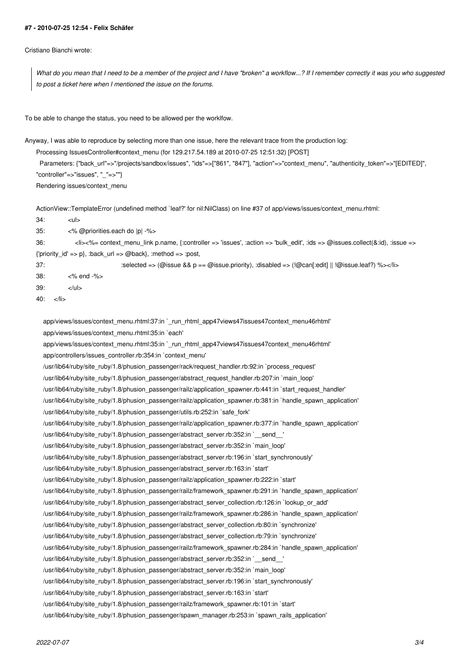#### **#7 - 2010-07-25 12:54 - Felix Schäfer**

Cristiano Bianchi wrote:

*What do you mean that I need to be a member of the project and I have "broken" a workflow...? If I remember correctly it was you who suggested to post a ticket here when I mentioned the issue on the forums.*

To be able to change the status, you need to be allowed per the worklfow.

```
Anyway, I was able to reproduce by selecting more than one issue, here the relevant trace from the production log:
```

```
Processing IssuesController#context_menu (for 129.217.54.189 at 2010-07-25 12:51:32) [POST]
 Parameters: {"back_url"=>"/projects/sandbox/issues", "ids"=>["861", "847"], "action"=>"context_menu", "authenticity_token"=>"[EDITED]",
"controller"=>"issues", "_"=>""}
Rendering issues/context_menu
```
ActionView::TemplateError (undefined method `leaf?' for nil:NilClass) on line #37 of app/views/issues/context\_menu.rhtml:

34: <ul> 35: <% @priorities.each do |p| -%> 36: <li><%= context\_menu\_link p.name, {:controller => 'issues', :action => 'bulk\_edit', :ids => @issues.collect(&:id), :issue =>  $\{ 'priority_id' => p \}$ , :back\_url => @back}, :method => :post, 37:  $\text{selected} \Rightarrow (\text{Qissue } \& \text{p} == \text{Qissue.} \text{priority})$ ,  $\text{disabled} \Rightarrow (\text{Qcan} \text{:} \text{edit}) || \text{Qissue.} \text{leaf?)}$  %></li> 38: <% end -%>  $39 \cdot \frac{11}{5}$  $40: <$ /li> app/views/issues/context\_menu.rhtml:37:in `\_run\_rhtml\_app47views47issues47context\_menu46rhtml' app/views/issues/context\_menu.rhtml:35:in `each' app/views/issues/context\_menu.rhtml:35:in `\_run\_rhtml\_app47views47issues47context\_menu46rhtml' app/controllers/issues\_controller.rb:354:in `context\_menu' /usr/lib64/ruby/site\_ruby/1.8/phusion\_passenger/rack/request\_handler.rb:92:in `process\_request' /usr/lib64/ruby/site\_ruby/1.8/phusion\_passenger/abstract\_request\_handler.rb:207:in `main\_loop' /usr/lib64/ruby/site\_ruby/1.8/phusion\_passenger/railz/application\_spawner.rb:441:in `start\_request\_handler' /usr/lib64/ruby/site\_ruby/1.8/phusion\_passenger/railz/application\_spawner.rb:381:in `handle\_spawn\_application'

/usr/lib64/ruby/site\_ruby/1.8/phusion\_passenger/utils.rb:252:in `safe\_fork'

/usr/lib64/ruby/site\_ruby/1.8/phusion\_passenger/railz/application\_spawner.rb:377:in `handle\_spawn\_application'

/usr/lib64/ruby/site\_ruby/1.8/phusion\_passenger/abstract\_server.rb:352:in `\_\_send\_\_'

/usr/lib64/ruby/site\_ruby/1.8/phusion\_passenger/abstract\_server.rb:352:in `main\_loop'

/usr/lib64/ruby/site\_ruby/1.8/phusion\_passenger/abstract\_server.rb:196:in `start\_synchronously'

/usr/lib64/ruby/site\_ruby/1.8/phusion\_passenger/abstract\_server.rb:163:in `start'

/usr/lib64/ruby/site\_ruby/1.8/phusion\_passenger/railz/application\_spawner.rb:222:in `start'

/usr/lib64/ruby/site\_ruby/1.8/phusion\_passenger/railz/framework\_spawner.rb:291:in `handle\_spawn\_application'

/usr/lib64/ruby/site\_ruby/1.8/phusion\_passenger/abstract\_server\_collection.rb:126:in `lookup\_or\_add'

/usr/lib64/ruby/site\_ruby/1.8/phusion\_passenger/railz/framework\_spawner.rb:286:in `handle\_spawn\_application'

/usr/lib64/ruby/site\_ruby/1.8/phusion\_passenger/abstract\_server\_collection.rb:80:in `synchronize'

/usr/lib64/ruby/site\_ruby/1.8/phusion\_passenger/abstract\_server\_collection.rb:79:in `synchronize'

/usr/lib64/ruby/site\_ruby/1.8/phusion\_passenger/railz/framework\_spawner.rb:284:in `handle\_spawn\_application'

/usr/lib64/ruby/site\_ruby/1.8/phusion\_passenger/abstract\_server.rb:352:in `\_\_send\_\_'

/usr/lib64/ruby/site\_ruby/1.8/phusion\_passenger/abstract\_server.rb:352:in `main\_loop'

/usr/lib64/ruby/site\_ruby/1.8/phusion\_passenger/abstract\_server.rb:196:in `start\_synchronously'

/usr/lib64/ruby/site\_ruby/1.8/phusion\_passenger/abstract\_server.rb:163:in `start'

/usr/lib64/ruby/site\_ruby/1.8/phusion\_passenger/railz/framework\_spawner.rb:101:in `start'

/usr/lib64/ruby/site\_ruby/1.8/phusion\_passenger/spawn\_manager.rb:253:in `spawn\_rails\_application'